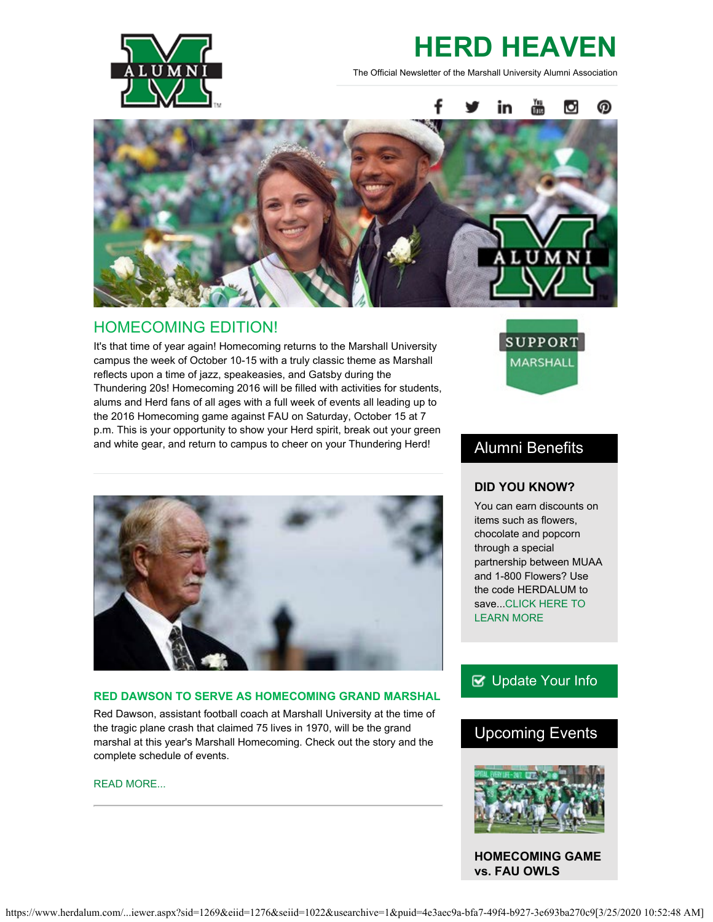

# **HERD HEAVEN**

The Official Newsletter of the Marshall University Alumni Association



## HOMECOMING EDITION!

It's that time of year again! Homecoming returns to the Marshall University campus the week of October 10-15 with a truly classic theme as Marshall reflects upon a time of jazz, speakeasies, and Gatsby during the Thundering 20s! Homecoming 2016 will be filled with activities for students, alums and Herd fans of all ages with a full week of events all leading up to the 2016 Homecoming game against FAU on Saturday, October 15 at 7 p.m. This is your opportunity to show your Herd spirit, break out your green and white gear, and return to campus to cheer on your Thundering Herd!



## **RED DAWSON TO SERVE AS HOMECOMING GRAND MARSHAL**

Red Dawson, assistant football coach at Marshall University at the time of the tragic plane crash that claimed 75 lives in 1970, will be the grand marshal at this year's Marshall Homecoming. Check out the story and the complete schedule of events.

#### [READ MORE...](http://www.marshall.edu/ucomm/2016/10/3/red-dawson-serve-grand-marshal-mus-homecoming-parade/)



## Alumni Benefits

## **DID YOU KNOW?**

You can earn discounts on items such as flowers, chocolate and popcorn through a special partnership between MUAA and 1-800 Flowers? Use the code HERDALUM to save..[.CLICK HERE TO](https://www.1800flowers.com/flowers-gifts-14212?cm_mmc=BGS-_-marshallalumassoc-_-stdoffer-_-15p&ddkey=http%3AEntrance&flws_rd=1) [LEARN MORE](https://www.1800flowers.com/flowers-gifts-14212?cm_mmc=BGS-_-marshallalumassoc-_-stdoffer-_-15p&ddkey=http%3AEntrance&flws_rd=1)

## **B** [Update Your Info](http://www.herdalum.com/s/1269/index.aspx?sid=1269&gid=1&pgid=6&cid=41#/Search/Simple)

## Upcoming Events



**HOMECOMING GAME vs. FAU OWLS**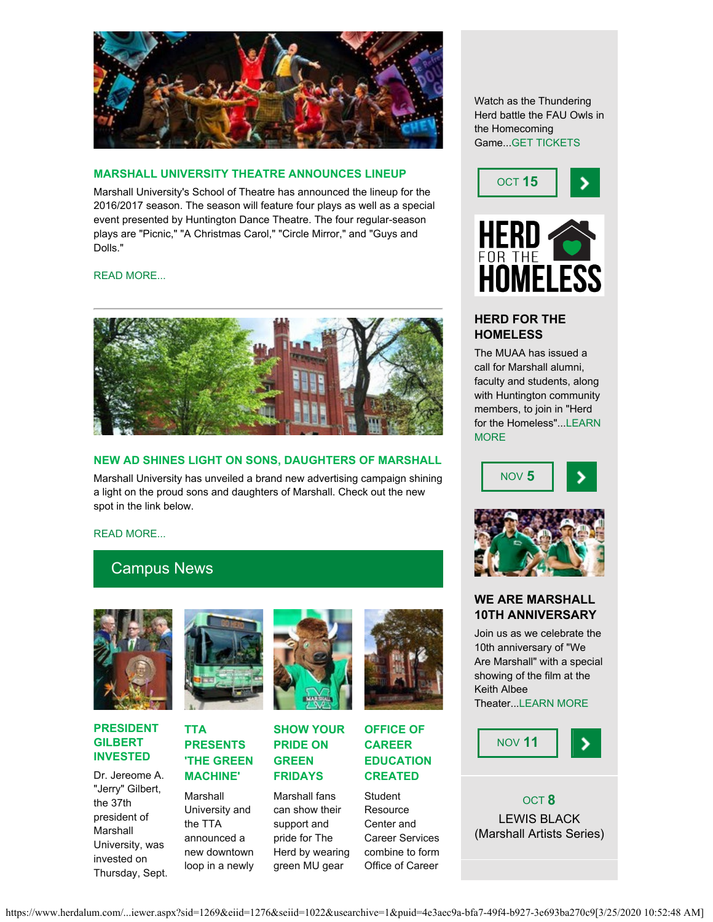

## **MARSHALL UNIVERSITY THEATRE ANNOUNCES LINEUP**

Marshall University's School of Theatre has announced the lineup for the 2016/2017 season. The season will feature four plays as well as a special event presented by Huntington Dance Theatre. The four regular-season plays are "Picnic," "A Christmas Carol," "Circle Mirror," and "Guys and Dolls."

[READ MORE...](http://www.marshall.edu/theatre/2016/09/13/marshall-university-theatre-announces-season-lineup/)



## **NEW AD SHINES LIGHT ON SONS, DAUGHTERS OF MARSHALL**

Marshall University has unveiled a brand new advertising campaign shining a light on the proud sons and daughters of Marshall. Check out the new spot in the link below.

[READ MORE...](https://www.youtube.com/watch?v=A3dDpDQX278&feature=youtu.be)

## Campus News



#### **PRESIDENT GILBERT INVESTED**

Dr. Jereome A. "Jerry" Gilbert, the 37th president of Marshall University, was invested on Thursday, Sept.



## **TTA PRESENTS 'THE GREEN MACHINE'**

Marshall University and the TTA announced a new downtown loop in a newly



**SHOW YOUR PRIDE ON GREEN FRIDAYS**

Marshall fans can show their support and pride for The Herd by wearing green MU gear



**OFFICE OF CAREER EDUCATION CREATED**

> **Student** Resource Center and Career Services combine to form Office of Career

Watch as the Thundering Herd battle the FAU Owls in the Homecoming Game..[.GET TICKETS](http://www.herdzone.com/sports/m-footbl/sched/mars-m-footbl-sched.html)





## **HERD FOR THE HOMELESS**

The MUAA has issued a call for Marshall alumni, faculty and students, along with Huntington community members, to join in "Herd for the Homeless"..[.LEARN](https://www.facebook.com/events/195437200880615/) **[MORE](https://www.facebook.com/events/195437200880615/)** 





## **WE ARE MARSHALL 10TH ANNIVERSARY**

Join us as we celebrate the 10th anniversary of "We Are Marshall" with a special showing of the film at the Keith Albee Theater..[.LEARN MORE](http://www.herdalum.com/s/1269/index.aspx?sid=1269&gid=1&pgid=1019)



OCT **8** LEWIS BLACK (Marshall Artists Series)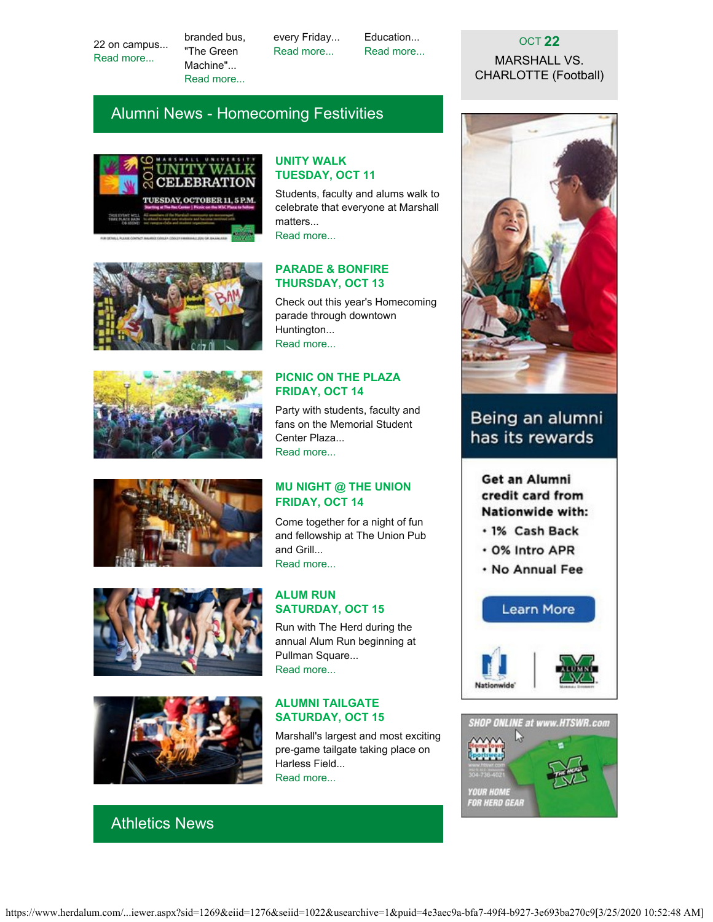22 on campus... [Read more...](http://www.marshall.edu/ucomm/2016/09/22/president-gilbert-invested-marshall/)

branded bus, "The Green Machine"... [Read more...](https://www.marshall.edu/ucomm/2016/09/09/marshall-announces-tta-partnership-new-downtown-loop/)

every Friday... [Read more...](https://www.marshall.edu/ucomm/2016/08/26/green-fridays-college-colors-day-give-herd-fans-opportunity-show-pride-team/)

Education... [Read more...](https://www.marshall.edu/ucomm/2016/09/27/office-of-career-education-works-to-showcase-connection-between-academic-majors-and-career-paths-for-students/)

## OCT **22** MARSHALL VS. CHARLOTTE (Football)

# Alumni News - Homecoming Festivities













# Athletics News

## **UNITY WALK TUESDAY, OCT 11**

Students, faculty and alums walk to celebrate that everyone at Marshall matters... [Read more...](http://www.herdalum.com/s/1269/index.aspx?sid=1269&gid=1&pgid=1021&cid=2616&ecid=2616&crid=0&calpgid=13&calcid=664)

## **PARADE & BONFIRE THURSDAY, OCT 13**

Check out this year's Homecoming parade through downtown Huntington... [Read more...](http://www.marshall.edu/sga/homecoming-2016/)

## **PICNIC ON THE PLAZA FRIDAY, OCT 14**

Party with students, faculty and fans on the Memorial Student Center Plaza... [Read more...](http://www.herdalum.com/s/1269/index.aspx?sid=1269&gid=1&pgid=998&cid=2584&ecid=2584&crid=0&calpgid=13&calcid=664)

## **MU NIGHT @ THE UNION FRIDAY, OCT 14**

Come together for a night of fun and fellowship at The Union Pub and Grill... [Read more...](https://www.facebook.com/events/1681827722132935/)

## **ALUM RUN SATURDAY, OCT 15**

Run with The Herd during the annual Alum Run beginning at Pullman Square... [Read more...](http://www.tristateracer.com/event.php?RaceID=8803)

#### **ALUMNI TAILGATE SATURDAY, OCT 15**

Marshall's largest and most exciting pre-game tailgate taking place on Harless Field... [Read more...](http://www.herdalum.com/s/1269/index.aspx?sid=1269&gid=1&pgid=999&cid=2585&ecid=2585&crid=0&calpgid=13&calcid=664)



# Being an alumni has its rewards

Get an Alumni credit card from Nationwide with:

· 1% Cash Back

- · 0% Intro APR
- . No Annual Fee